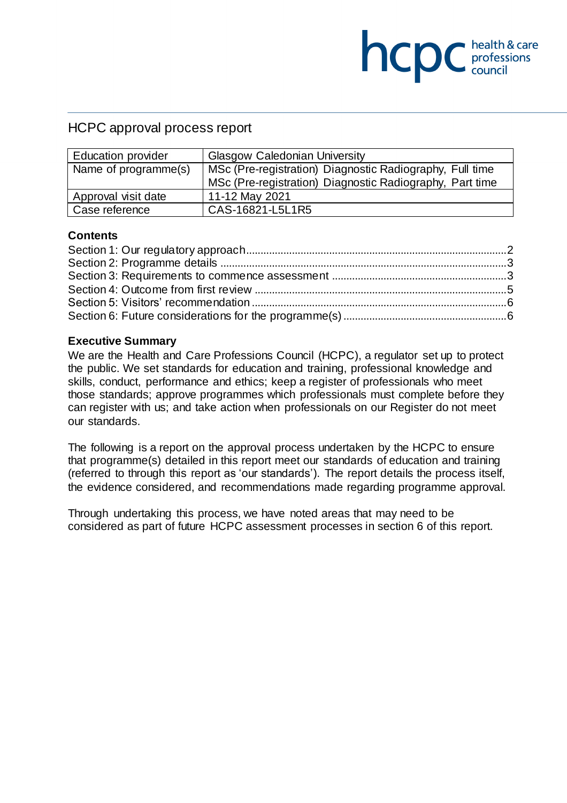## HCPC approval process report

| <b>Education provider</b> | <b>Glasgow Caledonian University</b>                     |
|---------------------------|----------------------------------------------------------|
| Name of programme(s)      | MSc (Pre-registration) Diagnostic Radiography, Full time |
|                           | MSc (Pre-registration) Diagnostic Radiography, Part time |
| Approval visit date       | 11-12 May 2021                                           |
| Case reference            | CAS-16821-L5L1R5                                         |

**NCDC** *c health & care* 

#### **Contents**

#### **Executive Summary**

We are the Health and Care Professions Council (HCPC), a regulator set up to protect the public. We set standards for education and training, professional knowledge and skills, conduct, performance and ethics; keep a register of professionals who meet those standards; approve programmes which professionals must complete before they can register with us; and take action when professionals on our Register do not meet our standards.

The following is a report on the approval process undertaken by the HCPC to ensure that programme(s) detailed in this report meet our standards of education and training (referred to through this report as 'our standards'). The report details the process itself, the evidence considered, and recommendations made regarding programme approval.

Through undertaking this process, we have noted areas that may need to be considered as part of future HCPC assessment processes in section 6 of this report.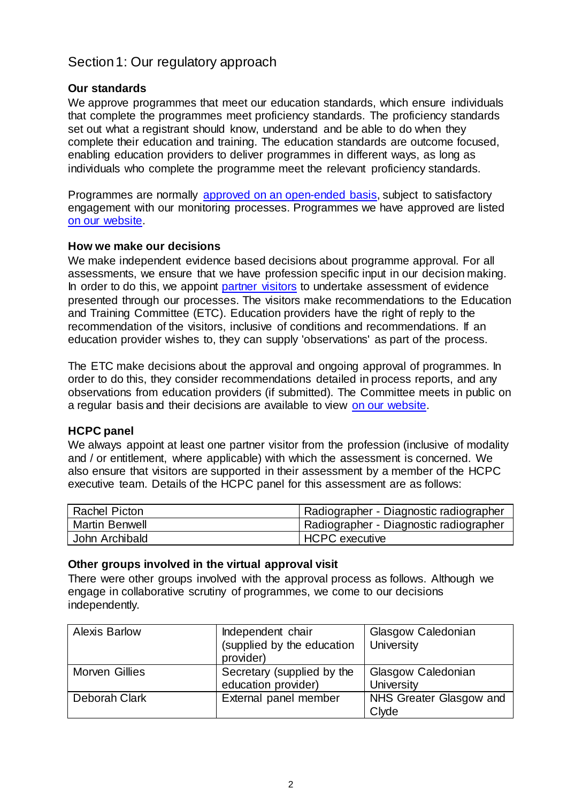# <span id="page-1-0"></span>Section 1: Our regulatory approach

### **Our standards**

We approve programmes that meet our education standards, which ensure individuals that complete the programmes meet proficiency standards. The proficiency standards set out what a registrant should know, understand and be able to do when they complete their education and training. The education standards are outcome focused, enabling education providers to deliver programmes in different ways, as long as individuals who complete the programme meet the relevant proficiency standards.

Programmes are normally [approved on an open-ended basis,](http://www.hcpc-uk.org/education/processes/) subject to satisfactory engagement with our monitoring processes. Programmes we have approved are listed [on our website.](http://www.hcpc-uk.org/education/programmes/register/)

### **How we make our decisions**

We make independent evidence based decisions about programme approval. For all assessments, we ensure that we have profession specific input in our decision making. In order to do this, we appoint [partner visitors](http://www.hcpc-uk.org/aboutus/partners/) to undertake assessment of evidence presented through our processes. The visitors make recommendations to the Education and Training Committee (ETC). Education providers have the right of reply to the recommendation of the visitors, inclusive of conditions and recommendations. If an education provider wishes to, they can supply 'observations' as part of the process.

The ETC make decisions about the approval and ongoing approval of programmes. In order to do this, they consider recommendations detailed in process reports, and any observations from education providers (if submitted). The Committee meets in public on a regular basis and their decisions are available to view [on our website.](http://www.hcpc-uk.org/aboutus/committees/educationandtrainingpanel/)

### **HCPC panel**

We always appoint at least one partner visitor from the profession (inclusive of modality and / or entitlement, where applicable) with which the assessment is concerned. We also ensure that visitors are supported in their assessment by a member of the HCPC executive team. Details of the HCPC panel for this assessment are as follows:

| <b>Rachel Picton</b>  | Radiographer - Diagnostic radiographer |
|-----------------------|----------------------------------------|
| <b>Martin Benwell</b> | Radiographer - Diagnostic radiographer |
| John Archibald        | HCPC executive                         |

#### **Other groups involved in the virtual approval visit**

There were other groups involved with the approval process as follows. Although we engage in collaborative scrutiny of programmes, we come to our decisions independently.

| <b>Alexis Barlow</b> | Independent chair<br>(supplied by the education<br>provider) | Glasgow Caledonian<br>University |
|----------------------|--------------------------------------------------------------|----------------------------------|
| Morven Gillies       | Secretary (supplied by the<br>education provider)            | Glasgow Caledonian<br>University |
| Deborah Clark        | External panel member                                        | NHS Greater Glasgow and<br>Clyde |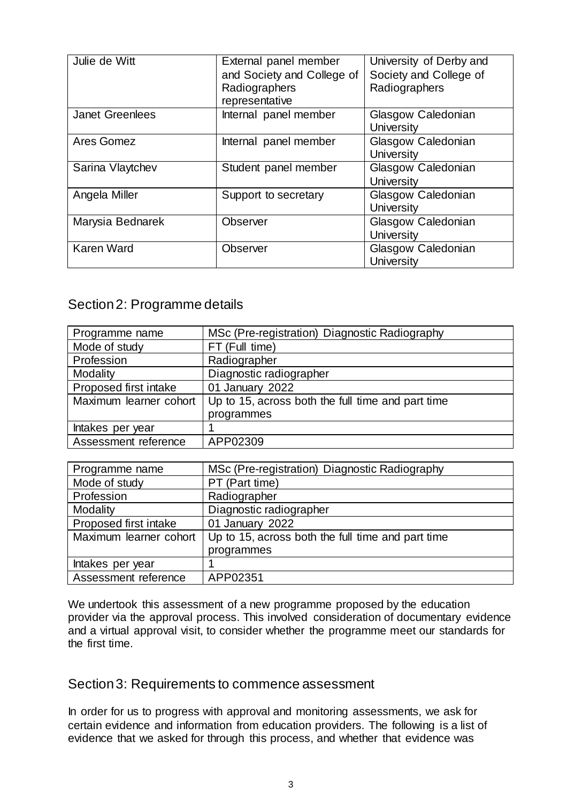| Julie de Witt          | External panel member<br>and Society and College of<br>Radiographers<br>representative | University of Derby and<br>Society and College of<br>Radiographers |
|------------------------|----------------------------------------------------------------------------------------|--------------------------------------------------------------------|
| <b>Janet Greenlees</b> | Internal panel member                                                                  | Glasgow Caledonian<br><b>University</b>                            |
| Ares Gomez             | Internal panel member                                                                  | Glasgow Caledonian<br><b>University</b>                            |
| Sarina Vlaytchev       | Student panel member                                                                   | Glasgow Caledonian<br><b>University</b>                            |
| Angela Miller          | Support to secretary                                                                   | Glasgow Caledonian<br>University                                   |
| Marysia Bednarek       | <b>Observer</b>                                                                        | Glasgow Caledonian<br><b>University</b>                            |
| <b>Karen Ward</b>      | Observer                                                                               | Glasgow Caledonian<br><b>University</b>                            |

## <span id="page-2-0"></span>Section 2: Programme details

| Programme name         | MSc (Pre-registration) Diagnostic Radiography     |
|------------------------|---------------------------------------------------|
| Mode of study          | FT (Full time)                                    |
| Profession             | Radiographer                                      |
| Modality               | Diagnostic radiographer                           |
| Proposed first intake  | 01 January 2022                                   |
| Maximum learner cohort | Up to 15, across both the full time and part time |
|                        | programmes                                        |
| Intakes per year       |                                                   |
| Assessment reference   | APP02309                                          |

| Programme name         | MSc (Pre-registration) Diagnostic Radiography     |
|------------------------|---------------------------------------------------|
| Mode of study          | PT (Part time)                                    |
| Profession             | Radiographer                                      |
| Modality               | Diagnostic radiographer                           |
| Proposed first intake  | 01 January 2022                                   |
| Maximum learner cohort | Up to 15, across both the full time and part time |
|                        | programmes                                        |
| Intakes per year       |                                                   |
| Assessment reference   | APP02351                                          |

We undertook this assessment of a new programme proposed by the education provider via the approval process. This involved consideration of documentary evidence and a virtual approval visit, to consider whether the programme meet our standards for the first time.

### <span id="page-2-1"></span>Section 3: Requirements to commence assessment

In order for us to progress with approval and monitoring assessments, we ask for certain evidence and information from education providers. The following is a list of evidence that we asked for through this process, and whether that evidence was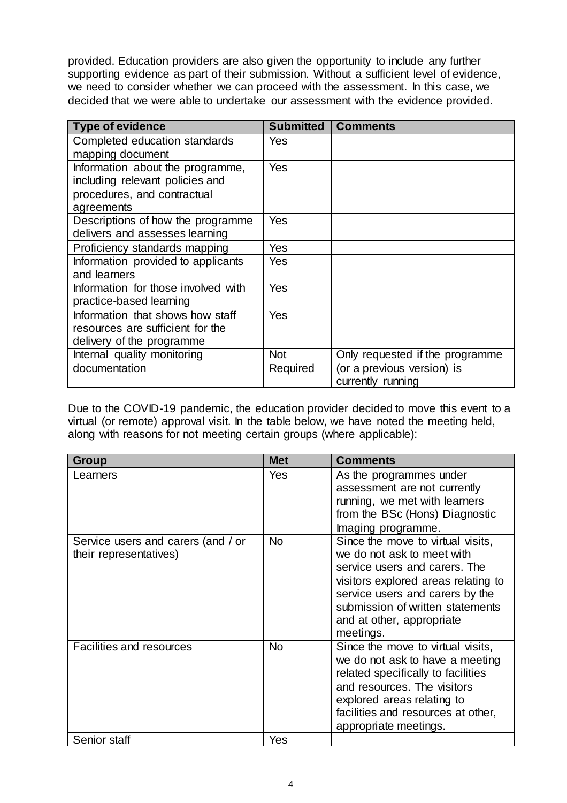provided. Education providers are also given the opportunity to include any further supporting evidence as part of their submission. Without a sufficient level of evidence, we need to consider whether we can proceed with the assessment. In this case, we decided that we were able to undertake our assessment with the evidence provided.

| <b>Type of evidence</b>             | <b>Submitted</b> | <b>Comments</b>                 |
|-------------------------------------|------------------|---------------------------------|
| Completed education standards       | Yes              |                                 |
| mapping document                    |                  |                                 |
| Information about the programme,    | Yes              |                                 |
| including relevant policies and     |                  |                                 |
| procedures, and contractual         |                  |                                 |
| agreements                          |                  |                                 |
| Descriptions of how the programme   | Yes              |                                 |
| delivers and assesses learning      |                  |                                 |
| Proficiency standards mapping       | Yes              |                                 |
| Information provided to applicants  | Yes              |                                 |
| and learners                        |                  |                                 |
| Information for those involved with | Yes              |                                 |
| practice-based learning             |                  |                                 |
| Information that shows how staff    | Yes              |                                 |
| resources are sufficient for the    |                  |                                 |
| delivery of the programme           |                  |                                 |
| Internal quality monitoring         | <b>Not</b>       | Only requested if the programme |
| documentation                       | Required         | (or a previous version) is      |
|                                     |                  | currently running               |

Due to the COVID-19 pandemic, the education provider decided to move this event to a virtual (or remote) approval visit. In the table below, we have noted the meeting held, along with reasons for not meeting certain groups (where applicable):

| <b>Group</b>                                                 | <b>Met</b> | <b>Comments</b>                                                                                                                                                                                                                                          |
|--------------------------------------------------------------|------------|----------------------------------------------------------------------------------------------------------------------------------------------------------------------------------------------------------------------------------------------------------|
| Learners                                                     | Yes        | As the programmes under<br>assessment are not currently<br>running, we met with learners<br>from the BSc (Hons) Diagnostic<br>Imaging programme.                                                                                                         |
| Service users and carers (and / or<br>their representatives) | <b>No</b>  | Since the move to virtual visits,<br>we do not ask to meet with<br>service users and carers. The<br>visitors explored areas relating to<br>service users and carers by the<br>submission of written statements<br>and at other, appropriate<br>meetings. |
| <b>Facilities and resources</b>                              | <b>No</b>  | Since the move to virtual visits,<br>we do not ask to have a meeting<br>related specifically to facilities<br>and resources. The visitors<br>explored areas relating to<br>facilities and resources at other,<br>appropriate meetings.                   |
| Senior staff                                                 | Yes        |                                                                                                                                                                                                                                                          |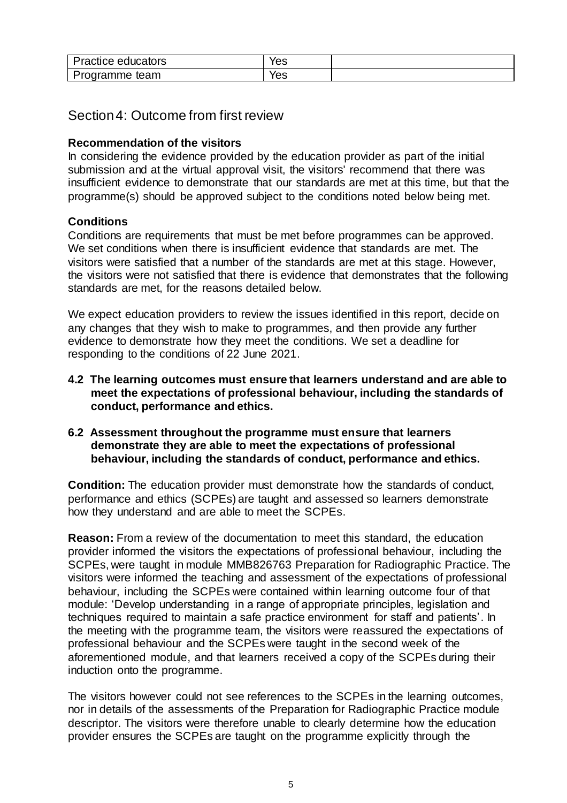| <i>Practice educators</i> | $\sim$<br>ဗ၁ |  |
|---------------------------|--------------|--|
| Programme<br>team         | 'es          |  |

## <span id="page-4-0"></span>Section 4: Outcome from first review

### **Recommendation of the visitors**

In considering the evidence provided by the education provider as part of the initial submission and at the virtual approval visit, the visitors' recommend that there was insufficient evidence to demonstrate that our standards are met at this time, but that the programme(s) should be approved subject to the conditions noted below being met.

### **Conditions**

Conditions are requirements that must be met before programmes can be approved. We set conditions when there is insufficient evidence that standards are met. The visitors were satisfied that a number of the standards are met at this stage. However, the visitors were not satisfied that there is evidence that demonstrates that the following standards are met, for the reasons detailed below.

We expect education providers to review the issues identified in this report, decide on any changes that they wish to make to programmes, and then provide any further evidence to demonstrate how they meet the conditions. We set a deadline for responding to the conditions of 22 June 2021.

- **4.2 The learning outcomes must ensure that learners understand and are able to meet the expectations of professional behaviour, including the standards of conduct, performance and ethics.**
- **6.2 Assessment throughout the programme must ensure that learners demonstrate they are able to meet the expectations of professional behaviour, including the standards of conduct, performance and ethics.**

**Condition:** The education provider must demonstrate how the standards of conduct, performance and ethics (SCPEs) are taught and assessed so learners demonstrate how they understand and are able to meet the SCPEs.

**Reason:** From a review of the documentation to meet this standard, the education provider informed the visitors the expectations of professional behaviour, including the SCPEs, were taught in module MMB826763 Preparation for Radiographic Practice. The visitors were informed the teaching and assessment of the expectations of professional behaviour, including the SCPEs were contained within learning outcome four of that module: 'Develop understanding in a range of appropriate principles, legislation and techniques required to maintain a safe practice environment for staff and patients'. In the meeting with the programme team, the visitors were reassured the expectations of professional behaviour and the SCPEs were taught in the second week of the aforementioned module, and that learners received a copy of the SCPEs during their induction onto the programme.

The visitors however could not see references to the SCPEs in the learning outcomes, nor in details of the assessments of the Preparation for Radiographic Practice module descriptor. The visitors were therefore unable to clearly determine how the education provider ensures the SCPEs are taught on the programme explicitly through the